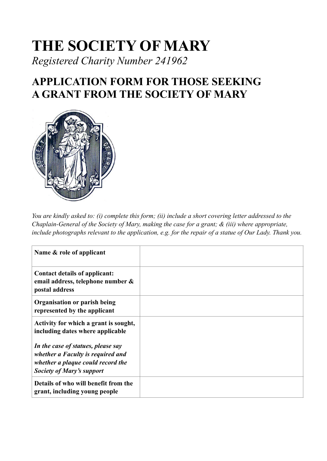## **THE SOCIETY OF MARY** *Registered Charity Number 241962*

## **APPLICATION FORM FOR THOSE SEEKING A GRANT FROM THE SOCIETY OF MARY**



*You are kindly asked to: (i) complete this form; (ii) include a short covering letter addressed to the Chaplain-General of the Society of Mary, making the case for a grant; & (iii) where appropriate, include photographs relevant to the application, e.g. for the repair of a statue of Our Lady. Thank you.*

| Name & role of applicant                                                                                                                         |  |
|--------------------------------------------------------------------------------------------------------------------------------------------------|--|
| Contact details of applicant:<br>email address, telephone number &<br>postal address                                                             |  |
| Organisation or parish being<br>represented by the applicant                                                                                     |  |
| Activity for which a grant is sought,<br>including dates where applicable                                                                        |  |
| In the case of statues, please say<br>whether a Faculty is required and<br>whether a plaque could record the<br><b>Society of Mary's support</b> |  |
| Details of who will benefit from the<br>grant, including young people                                                                            |  |